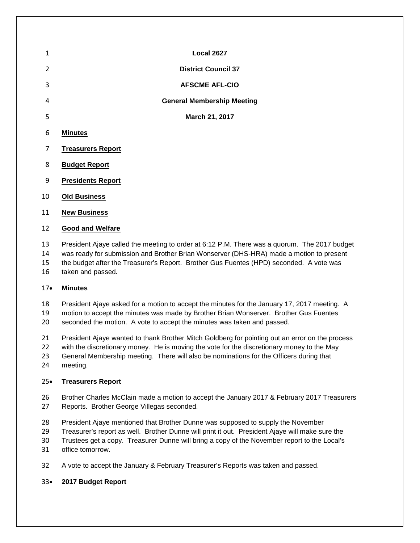| 1              |                          | Local 2627                        |  |
|----------------|--------------------------|-----------------------------------|--|
| $\overline{2}$ |                          | <b>District Council 37</b>        |  |
| 3              |                          | <b>AFSCME AFL-CIO</b>             |  |
| 4              |                          | <b>General Membership Meeting</b> |  |
| 5              |                          | March 21, 2017                    |  |
| 6              | <b>Minutes</b>           |                                   |  |
| 7              | <b>Treasurers Report</b> |                                   |  |
| 8              | <b>Budget Report</b>     |                                   |  |
| 9              | <b>Presidents Report</b> |                                   |  |

- **Old Business**
- **New Business**

#### **Good and Welfare**

- President Ajaye called the meeting to order at 6:12 P.M. There was a quorum. The 2017 budget
- was ready for submission and Brother Brian Wonserver (DHS-HRA) made a motion to present
- the budget after the Treasurer's Report. Brother Gus Fuentes (HPD) seconded. A vote was
- taken and passed.

## • **Minutes**

- President Ajaye asked for a motion to accept the minutes for the January 17, 2017 meeting. A
- motion to accept the minutes was made by Brother Brian Wonserver. Brother Gus Fuentes
- seconded the motion. A vote to accept the minutes was taken and passed.
- President Ajaye wanted to thank Brother Mitch Goldberg for pointing out an error on the process
- with the discretionary money. He is moving the vote for the discretionary money to the May
- General Membership meeting. There will also be nominations for the Officers during that
- meeting.

## • **Treasurers Report**

- Brother Charles McClain made a motion to accept the January 2017 & February 2017 Treasurers Reports. Brother George Villegas seconded.
- President Ajaye mentioned that Brother Dunne was supposed to supply the November
- Treasurer's report as well. Brother Dunne will print it out. President Ajaye will make sure the
- Trustees get a copy. Treasurer Dunne will bring a copy of the November report to the Local's
- office tomorrow.
- A vote to accept the January & February Treasurer's Reports was taken and passed.

## • **2017 Budget Report**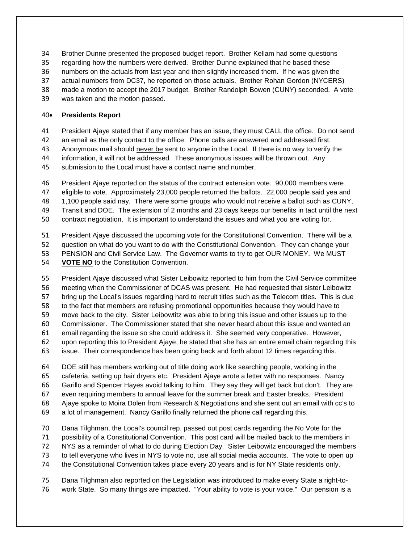- Brother Dunne presented the proposed budget report. Brother Kellam had some questions
- regarding how the numbers were derived. Brother Dunne explained that he based these
- numbers on the actuals from last year and then slightly increased them. If he was given the
- actual numbers from DC37, he reported on those actuals. Brother Rohan Gordon (NYCERS)
- made a motion to accept the 2017 budget. Brother Randolph Bowen (CUNY) seconded. A vote
- was taken and the motion passed.

## • **Presidents Report**

- President Ajaye stated that if any member has an issue, they must CALL the office. Do not send
- an email as the only contact to the office. Phone calls are answered and addressed first.
- Anonymous mail should never be sent to anyone in the Local. If there is no way to verify the
- information, it will not be addressed. These anonymous issues will be thrown out. Any
- submission to the Local must have a contact name and number.
- President Ajaye reported on the status of the contract extension vote. 90,000 members were
- eligible to vote. Approximately 23,000 people returned the ballots. 22,000 people said yea and
- 1,100 people said nay. There were some groups who would not receive a ballot such as CUNY,
- Transit and DOE. The extension of 2 months and 23 days keeps our benefits in tact until the next
- contract negotiation. It is important to understand the issues and what you are voting for.
- President Ajaye discussed the upcoming vote for the Constitutional Convention. There will be a
- question on what do you want to do with the Constitutional Convention. They can change your
- PENSION and Civil Service Law. The Governor wants to try to get OUR MONEY. We MUST
- **VOTE NO** to the Constitution Convention.
- President Ajaye discussed what Sister Leibowitz reported to him from the Civil Service committee meeting when the Commissioner of DCAS was present. He had requested that sister Leibowitz bring up the Local's issues regarding hard to recruit titles such as the Telecom titles. This is due to the fact that members are refusing promotional opportunities because they would have to move back to the city. Sister Leibowtitz was able to bring this issue and other issues up to the Commissioner. The Commissioner stated that she never heard about this issue and wanted an email regarding the issue so she could address it. She seemed very cooperative. However, upon reporting this to President Ajaye, he stated that she has an entire email chain regarding this issue. Their correspondence has been going back and forth about 12 times regarding this.
- DOE still has members working out of title doing work like searching people, working in the cafeteria, setting up hair dryers etc. President Ajaye wrote a letter with no responses. Nancy Garillo and Spencer Hayes avoid talking to him. They say they will get back but don't. They are even requiring members to annual leave for the summer break and Easter breaks. President Ajaye spoke to Moira Dolen from Research & Negotiations and she sent out an email with cc's to a lot of management. Nancy Garillo finally returned the phone call regarding this.
- Dana Tilghman, the Local's council rep. passed out post cards regarding the No Vote for the
- possibility of a Constitutional Convention. This post card will be mailed back to the members in
- NYS as a reminder of what to do during Election Day. Sister Leibowitz encouraged the members
- to tell everyone who lives in NYS to vote no, use all social media accounts. The vote to open up
- the Constitutional Convention takes place every 20 years and is for NY State residents only.
- Dana Tilghman also reported on the Legislation was introduced to make every State a right-to-work State. So many things are impacted. "Your ability to vote is your voice." Our pension is a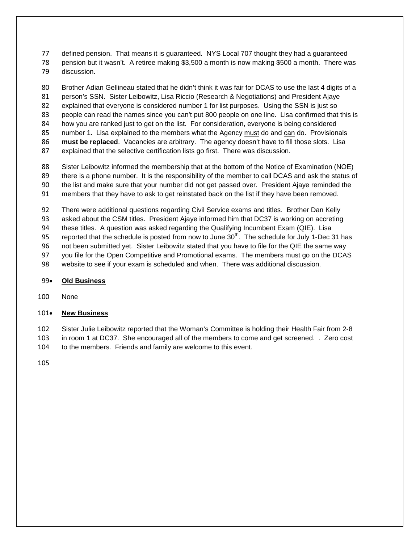defined pension. That means it is guaranteed. NYS Local 707 thought they had a guaranteed

 pension but it wasn't. A retiree making \$3,500 a month is now making \$500 a month. There was discussion.

 Brother Adian Gellineau stated that he didn't think it was fair for DCAS to use the last 4 digits of a person's SSN. Sister Leibowitz, Lisa Riccio (Research & Negotiations) and President Ajaye explained that everyone is considered number 1 for list purposes. Using the SSN is just so people can read the names since you can't put 800 people on one line. Lisa confirmed that this is how you are ranked just to get on the list. For consideration, everyone is being considered number 1. Lisa explained to the members what the Agency must do and can do. Provisionals **must be replaced**. Vacancies are arbitrary. The agency doesn't have to fill those slots. Lisa explained that the selective certification lists go first. There was discussion.

 Sister Leibowitz informed the membership that at the bottom of the Notice of Examination (NOE) there is a phone number. It is the responsibility of the member to call DCAS and ask the status of the list and make sure that your number did not get passed over. President Ajaye reminded the

members that they have to ask to get reinstated back on the list if they have been removed.

There were additional questions regarding Civil Service exams and titles. Brother Dan Kelly

asked about the CSM titles. President Ajaye informed him that DC37 is working on accreting

these titles. A question was asked regarding the Qualifying Incumbent Exam (QIE). Lisa

95 reported that the schedule is posted from now to June 30<sup>th</sup>. The schedule for July 1-Dec 31 has

not been submitted yet. Sister Leibowitz stated that you have to file for the QIE the same way

 you file for the Open Competitive and Promotional exams. The members must go on the DCAS website to see if your exam is scheduled and when. There was additional discussion.

# • **Old Business**

None

# • **New Business**

 Sister Julie Leibowitz reported that the Woman's Committee is holding their Health Fair from 2-8 in room 1 at DC37. She encouraged all of the members to come and get screened. . Zero cost to the members. Friends and family are welcome to this event.